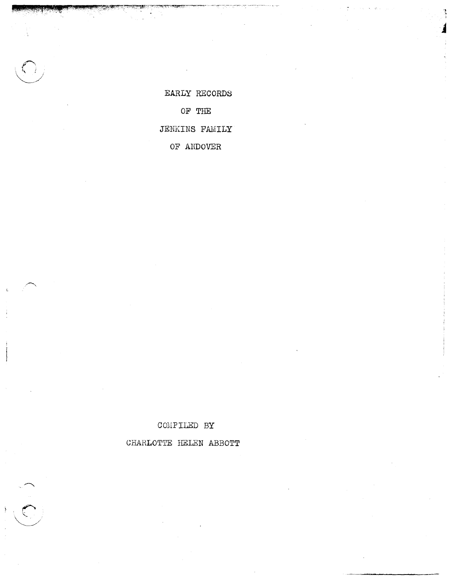EARLY RECORDS OF THE JENKINS FAMILY OF ANDOVER

 $-$  . The contract of the construction of the contract of the contract of the contract of the contract of the contract of the contract of the contract of the contract of the contract of the contract of the contract of the

# CHARLOTTE HELEN ABBOTT

COMPILED BY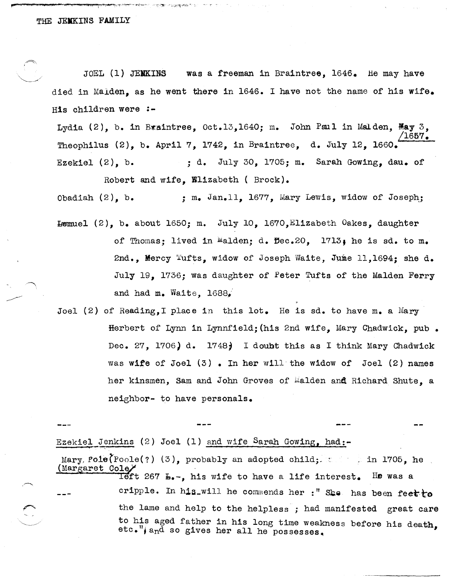<u>ushi ob salika kotabwa nchi ni Malika nchi Malika (maliki nchi muziki nchi nchi m</u>

-.-.....,.

JOEL (1) JEIKINS was a freeman in Braintree, 1646. He may have died in Malden, as he went there in 1646. I have not the name of his wife. His children were **:-**

Lydia (2), b. in Braintree, Oct.13,1640; m. John Paul in Malden, May 3,  $/1657.$ Theophilus (2), b. April 7, 1742, in Braintree, d. July 12, 1660. Ezekiel  $(2)$ , b. ; d. July 30, 1705; m. Sarah Gowing, dau. of Robert and wife, Wlizabeth ( Brock).

Obadiah  $(2)$ , b. ; m. Jan.ll, 1677, Mary Lewis, widow of Joseph;

- $Eemuel (2)$ , b. about 1650; m. July 10, 1670, Elizabeth Oakes, daughter of Thomas; lived in Malden; d. Bec.20, 1713, he is sd. to m. 2nd., Mercy Tufts, widow of Joseph Waite, June 11,1694; she d. July 19, 1736; was daughter of Peter Tufts of the Malden Ferry and had m. Waite, 1688/
- Joel (2) of Reading, I place in this lot. He is sd. to have m. a Mary Herbert of Lynn in Lynnfield; (his 2nd wife, Mary Chadwick, pub. Dec. 27, 1706) d. l748j I doubt this as I think Mary Chadwick was wife of Joel (3) • In her will the widow of Joel (2) names her kinsmen, Sam and Jolm Groves of Malden and Richard Shute, a neighbor- to have personals.

 $\ddot{\phantom{a}}$ Ezekiel Jenkins (2) Joel (1) and wife Sarah Gowing, had:-Mary.  $Pole (Poole(?)$  (3), probably an adopted child;. : in 1705, he (Margaret Cole  $\overline{\texttt{left}}$  267  $\overline{\texttt{b}}$ ..., his wife to have a life interest. He was a cripple. In his will he commends her :" She has been feet to the lame and help to the helpless ; had manifested great care to his aged father in his long time weakness before his death, etc.  $\eta$  and so gives her all he possesses.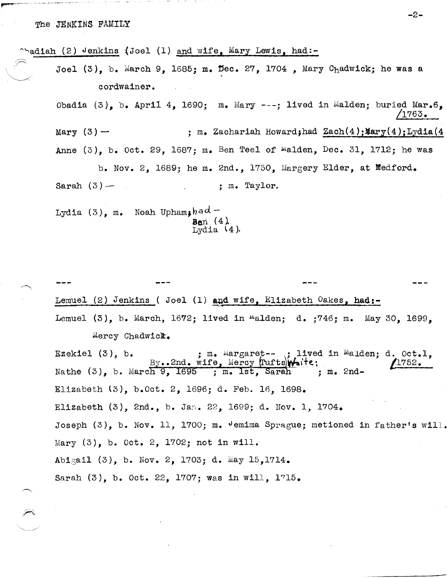~~adlah (2) Jenkins {Joel (1) and wife, Mary Lewis, had:-

Joel  $(3)$ , b. March 9, 1685; m. Dec. 27, 1704, Mary Chadwick; he was a cordwainer.

Obadia (3), b. April 4, 1690; m. Mary ---; lived in Malden; buried Mar.6, /1763. Mary  $(3)$  - ; m. Zachariah Howard;had Zach $(4)$ ;Mary $(4)$ ;Lydia $(4)$ Anne  $(3)$ , b. Oct. 29, 1687; m. Ben Teel of  $M$ alden, Dec. 31, 1712; he was b. Nov. 2, 1689; he m. 2nd., 1750, Margery Elder, at Medford. Sarah  $(3)$  -; m. Taylor,

Lydia (3), m. Noah Upham; had -Ben  $(4)$ . Lydia  $(4)$ ,

Lemuel (2) Jenkins ( Joel (1) and wife, Elizabeth Oakes, had:-Lemuel (3), b. March, 1672; lived in <sup>m</sup>alden; d. ;746; m. May 30, 1699. Mercy Chadwick.

: m. Wargaret -- ; lived in Walden; d. Oct.l. Ezekiel (3), b.  $By. 2nd.$  wife, Mercy [Tufts] Waite; 1*<sup>1752</sup> •*  ; m. 2nd-Nathe  $(3)$ , b. March 9, 1695 ; m. 1st, Sarah Elizabeth (3), b.Oct. 2, 1696; d. Feb. 16, 1698. Elizabeth  $(3)$ , 2nd., b. Jan. 22, 1699; d. Nov. 1, 1704. Joseph  $(3)$ , b. Nov. 11, 1700; m. Jemima Sprague; metioned in father's will. Mary (3), b. Oct. 2, 1702; not in will. Abigail (3), b. Nov. 2, 1703; d. May 15,1714. Sarah (3), b. Oct. 22, 1707; was in will, *lry15.* 

-2-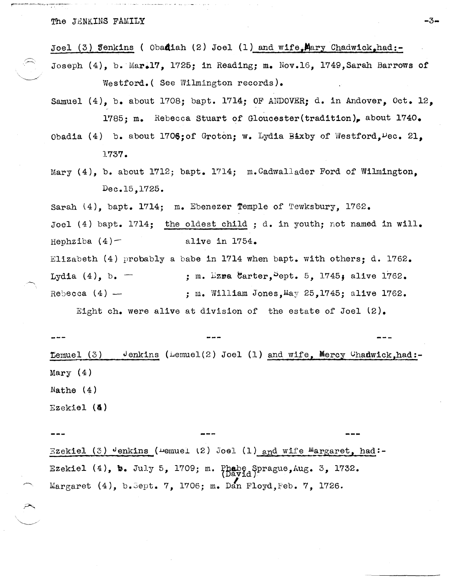The JENKINS FAMILY -3-

a sa matang matangan sa matang matanggunan di sang matanggunan mata

 $\begin{smallmatrix} \diagup \& \diagup \end{smallmatrix}$ 

Joel (3) Jenkins ( Obadiah (2) Joel (1) and wife, Mary Chadwick,had:-Joseph (4), b. Mar.17, 1725; in Reading; m. Nov.16, 1749, Sarah Barrows of Westford.( See Wilmington records).

Samuel  $(4)$ , b. about 1708; bapt. 1714; OF ANDOVER; d. in Andover, Oct. 12, .<br>1785; m. Rebecca Stuart of Gloucester(tradition), about 1740.

Obadia (4) b. about 1706; of Groton; w. Lydia Bixby of Westford,  $\mu$ ec. 21, 1737.

Mary  $(4)$ , b. about 1712; bapt. 1714; m. Cadwallader Ford of Wilmington. Dec.15,1725.

Sarah (4), bapt. 1714; m. Ebenezer Temple of Tewksbury, 1762.

Joel (4) bapt. 1714; the oldest child; d. in youth; not named in will. Hephziba  $(4)$  alive in 1754.

Elizabeth (4) probably a babe in 1714 when bapt. with others; d. 1762. Lydia  $(4)$ , b.  $-$ Rebecca  $(4)$  -; m. Ezra Carter,  $e^{i\theta}$ ept. 5, 1745; alive 1762. ; m. William Jones, May  $25,1745$ ; alive 1762.

Eight ch. were alive at division of the estate of Joel  $(2)$ .

 $r_{\text{temuel}}$  (3)  $\rightarrow$  Jenkins (Lemuel(2) Joel (1) and wife, Mercy Uhadwick,had:-Mary  $(4)$  $Nathe (4)$  $Ezekiel$  ( $\&$ )

Ezekiel (3) denkins ( $\text{Lemma 12}$  Joel (1) and wife  $\text{Margaret, had:}-$ Ezekiel (4),  $\boldsymbol{b}$ . July 5, 1709; m. Phabe Sprague, Aug. 3, 1732. Margaret (4), b.Sept. 7, 1706; m. Dan Floyd, Feb. 7, 1726.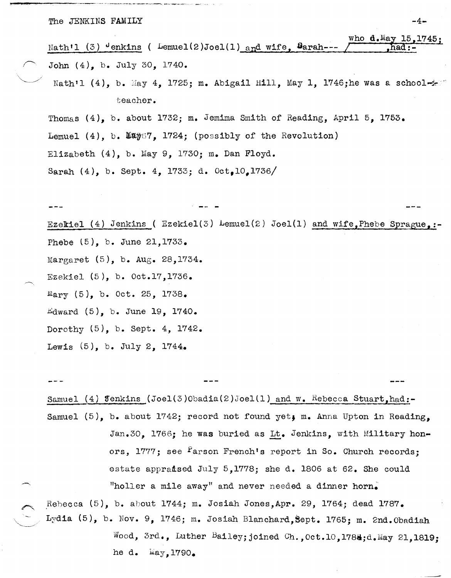**"".** 

who **d.**May  $15, 1745$ ;<br>had:-Nath'l (3) "enkins ( Lemuel(2)Joel(1) and wife,  $9$ arah---John (4), b. July 30, 1740.

Nath'l  $(4)$ , b.  $\text{May } 4$ , 1725; m. Abigail Hill, May 1, 1746;he was a school- $\pm$ teacher.

Thomas (4), b. about 1732; m. Jemima Smith of Reading, April 5, 1753. Lemuel  $(4)$ , b. Mag $\sigma$ 7, 1724; (possibly of the Revolution) Elizabeth  $(4)$ , b. May 9, 1730; m. Dan Floyd. Sarah  $(4)$ , b. Sept. 4, 1733; d. Oct.10.1736/

Ezekiel (4) Jenkins ( Ezekie1(3) Lemuel(2) Joel(l) and wife,Phebe Sprague,:- Phebe (5), b. June 21,1733. Margaret  $(5)$ , b. Aug. 28,1734. Ezekiel (5), b. Oct.17,1736.  $Mary (5)$ , b. Oct. 25, 1738. Edward  $(5)$ , b. June 19, 1740. Dorothy (5), b. Sept. 4, 1742. Lewis  $(5)$ , b. July 2, 1744.

Samuel (4)  $f$ enkins (Joel(3)Obadia(2)Joel(1) and w. Rebecca Stuart,had:-Samuel  $(5)$ , b. about 1742; record not found yet, m. Anna Upton in Reading, Jan.30, 1766; he was buried as  $L_t$ . Jenkins, with Military honors, 1777; see Parson French's report in So. Church records; estate appratsed July 5,1778; she d. 1806 at 62. She could "holler a mile away" and never needed a dinner horn.

Rebecca  $(5)$ , b. about 1744; m. Josiah Jones, Apr. 29, 1764; dead 1787. Lydia (5), b. Nov. 9, 1746; m. Josiah Blanchard,Sept. 1765; m. 2nd.Obadiah Wood, 3rd., Luther Bailey;joined Ch., Oct. 10, 1784;d.May 21, 1819; he d.  $\text{May, }1790$ .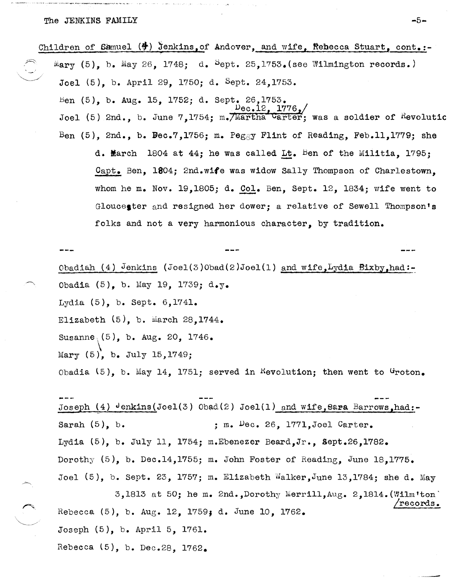#### The JENKINS FAMILY  $-5-$

 $\sim$ 

Children of Samuel ( $\bigoplus$ ) Jenkins, of Andover, and wife, Rebecca Stuart, cont.:-Mary (5), b. May 26, 1748; d. Sept. 25, 1753. (see Wilmington records.) Joel (5), b. April 29, 1750; d. Sept. 24,1753. Ben (5), b. Aug. 15, 1752; d. Sept. 26, 1753. Joel (5) 2nd., b. June  $7,1754$ ; m. Martha Carter; was a soldier of Revolution Ben  $(5)$ , 2nd., b. Bec.7,1756; m. Peggy Flint of Reading, Feb.11,1779; she d. March 1804 at 44; he was called Lt. Ben of the Militia, 1795; Capt. Ben, 1804; 2nd. wife was widow Sally Thompson of Charlestown, whom he m. Nov. 19,1805; d. Col. Ben, Sept. 12, 1834; wife went to Gloucester and resigned her dower; a relative of Sewell Thompson's folks and not a very harmonious character, by tradition.

Obadiah (4) Jenkins (Joel(3)Obad(2)Joel(1) and wife,Lydia Bixby,had:-Obadia (5), b. May 19, 1739; d.y. Lydia (5), b. Sept. 6,1741. Elizabeth  $(5)$ , b. March 28,1744. Susanne  $(5)$ , b. Aug. 20, 1746. Mary  $(5)$ , b. July 15,1749; Obadia  $(5)$ , b. May 14, 1751; served in Revolution; then went to  $G$ roton.

Joseph (4) Jenkins (Joel(3) Obad(2) Joel(1) and wife Bara Barrows, had:-Sarah  $(5)$ , b.  $\qquad \qquad ; \text{ m. Dec. 26, 1771, Joe1 Carter.}$ Lydia (5), b. July 11, 1754; m.Ebenezer Beard, Jr., Sept.26, 1782. Dorothy  $(5)$ , b. Dec.14,1755; m. John Foster of Reading, June 18,1775. Joel  $(5)$ , b. Sept. 23, 1757; m. Elizabeth Walker,June 13,1784; she d. May

3,1813 at 50; he m. 2nd.,Dorothy Merri11,Aug. 2,1814. (Wilm'ton' /records. Rebecca  $(5)$ , b. Aug. 12, 1759; d. June 10, 1762. Joseph  $(5)$ , b. April 5, 1761. Rebecca (5), b. Dec.28, 1762.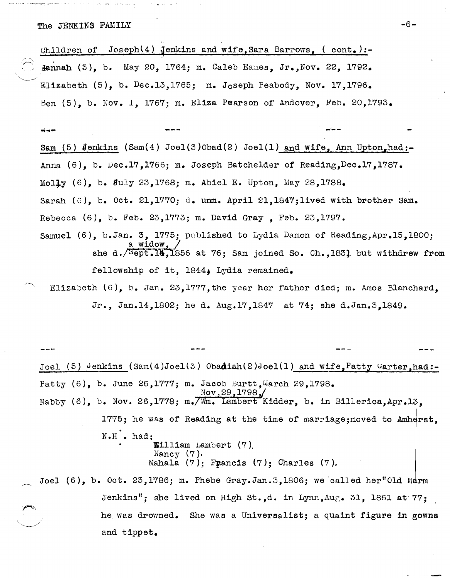The JENKINS FAMILY  $-6-$ 

-''--... .. \_---\_.,<:/ Ghildren of Joseph(4) Jenkins and wife.Sara Barrows, (  $cont.$ ):-Aannah (5), b. May 20, 1764; m. Caleb Eames, Jr.,Nov. 22, 1792. Elizabeth  $(5)$ , b.  $Dec.13.1765$ ; m. Joseph Peabody, Nov. 17.1796. Ben  $(5)$ , b. Nov. 1. 1767; m. Eliza Pearson of Andover, Feb. 20.1793.

**-'--** <del>91 (1</del> 9 Sam (5)  $\bar{\mathbf{J}}$ enkins (Sam(4) Joel(3)Obad(2) Joel(1) and wife, Ann Upton,had:-Anna (6), b. Dec.17,1766; m. Joseph Batchelder of Reading, Dec.17,1787. Molly  $(6)$ , b.  $\text{July } 23,1768;$  m. Abiel E. Upton, May 28,1788. Sarah  $(6)$ , b. Oct. 21,1770; d. unm. April 21,1847;lived with brother Sam. Rebecca (6), b. Feb. 23,1773; m. David Gray, Feb. 23,1797. Samuel (6), b.Jan. 3, 1775; published to Lydia Damon of Reading,Apr.15,1800; a widow she d.  $\sqrt{\text{Sept.14}}$ , 1856 at 76; Sam joined So. Ch., 183] but withdrew from fellowship of it,  $1844$ , Lydia remained.

Elizabeth (6), b. Jan. 23,1777,the year her father died; m. Amos Blanchard, Jr., Jan.14,1802; he d. Aug.17,1847 at 74; she d.Jan.3,1849.

Joel (5) Jenkins (Sam(4)Joel(3) Obadiah(2)Joel(1) and wife, Patty Carter, had:-Patty (6), b. June 26,1777; m. Jacob Burtt, March 29,1798. Nov,  $29,1798$ , Nabby  $(6)$ , b. Nov. 26,1778; m.  $\overline{\wedge}$ Wm. Lambert Kidder, b. in Billerica,Apr.13, 1775; he was of Reading at the time of marriage; moved to Amherst, N.H. had: William Lambert (7), Nancy  $(7)$ . Mahala  $(7)$ ; Francis  $(7)$ ; Charles  $(7)$ . Joel  $(6)$ , b. Oct. 23,1786; m. Phebe Gray.Jan.3,1806; we called her"Old Marm Jenkins"; she lived on High St.,d. in Lynn,Aug. 31, 1861 at 77; he was drowned. She was a Universalist; a quaint figure in gowns and tippet.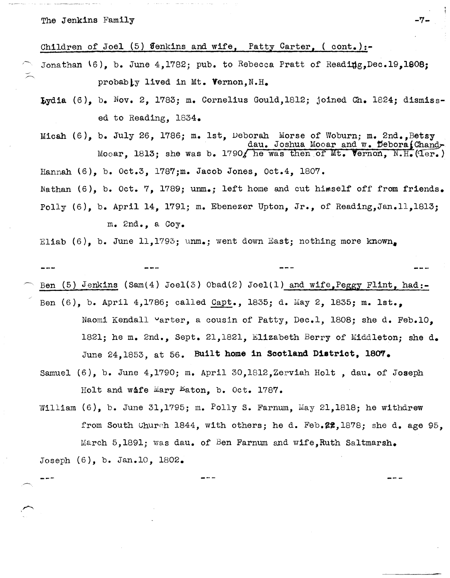The Jenkins Family  $-7-$ 

Children of Joel (5) fenkins and wife, Patty Carter, ( cont.):-

Jonathan  $(6)$ , b. June 4,1782; pub. to Rebecca Pratt of Reading,Dec.19,1808; probably lived in Mt. Vernon, N.H.

- Lydia (6), b. Nov. 2, 1783; m. Cornelius Gould, 1812; joined Ch. 1824; dismissed to Reading, 1834.
- Micah (6), b. July 26, 1786; m. 1st, Deborah Morse of Woburn; m. 2nd.,Betsy dau. Joshua Mooar and W. Debora Chand Mooar, 1813; she was b. 1790, he was then of Mt. Vernon, N.H. (1er.) Hannah (6), b. Oct.3, 1787;m. Jacob Jones, Oct.4, 1807. Nathan (6), b. Oct. 7, 1789; unm.; left home and cut himself off from friends. Polly (6), b. April 14, 1791; m. Ebenezer Upton, Jr., of Reading,Jan.ll,1813;

m. 2nd., a Coy.

Eliab (6), b. June 11,1793; unm.; went down East; nothing more known,

Ben (5) Jenkins (Sam(4) Joel(3) Obad(2) Joel(1) and wife, Peggy Flint, had:-

- Ben (6), b. April 4,1786; called Capt., 1835; d. May 2, 1835; m. 1st., Naomi Kendall varter, a cousin of Patty, Dec.l, 1808; she d. Feb.l0, 1821; he m. 2nd., Sept. 21,1821, Elizabeth Berry of Middleton; she d. June 24,1853, at 56. Built home in Scotland District, 1807.
- Samuel (6), b. June 4,1790; m. April 30,1812,Zerviah Holt, dau. of Joseph Holt and wafe Mary Eaton, b. Oct. 1787.
- William (6), b. June 31,1795; m. Polly S. Farnum, May 21,1818; he withdrew from South Church 1844, with others; he d. Feb.22, 1878; she d. age 95, March 5,1891; was dau. of Ben Farnum and wife, Ruth Saltmarsh. Joseph (6), b. Jan.l0, 1802.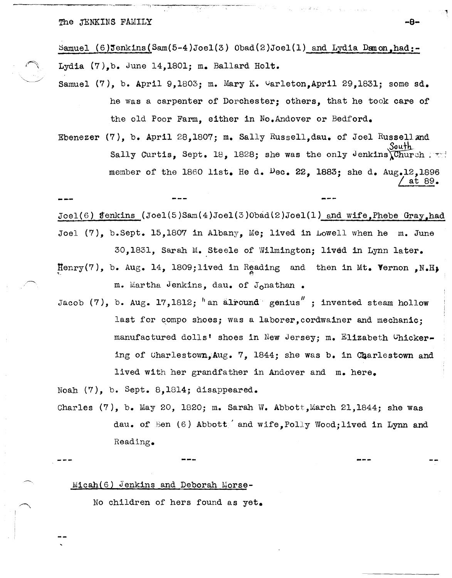Samuel (6) $\texttt{Senkins}(\texttt{Sam}(5-4)\texttt{Joel}(3) \texttt{Obad}(2)\texttt{Joel}(1)$  and Lydia Danon,had:-Lydia  $(7)$ ,b. June 14,1801; m. Ballard Holt.

Samuel (7), b. April 9,1803; m. Mary K. Varleton, April 29,1831; some sd. he was a carpenter of Dorchester; others, that he took care of the old Poor Farm, either in No. Andover or Bedford.

Ebenezer (7), b. April 28,1807; m. Sally Russell,dau. of Joel Russel1and Sally Curtis, Sept. 18, 1828; she was the only Jenkins  $\sqrt{\text{Chur}}$ ch . v: member of the 1860 list. He d. Dec. 22, 1883; she d. Aug.12,1896<br>at 89.

Joel(6)  $f$ enkins (Joel(5)Sam(4)Joel(3)Obad(2)Joel(1) and wife,Phebe Gray,had Joel (7), b.Sept. 15,1807 in Albany, Me; lived in Lowell when he m. June 30,1831, Sarah M. Steele of Wilmington; lived in Lynn later.  $Henry(7)$ , b. Aug. 14, 1809;lived in Reading and then in Mt. Vernon , N.H; m. Martha Jenkins, dau. of J<sub>o</sub>nathan.

Jacob (7), b. Aug. 17,1812; "an alround genius"; invented steam hollow last for compo shoes; was a laborer, cordwainer and mechanic; manufactured dolls' shoes in New Jersey; m. Elizabeth Uhickering of Charlestown,  $Aug. 7, 1844$ ; she was b. in Charlestown and lived with her grandfather in Andover and m. here.

Noah (7), b. Sept. 8,1814; disappeared.

Charles  $(7)$ , b. May 20, 1820; m. Sarah W. Abbott, March 21, 1844; she was dau. of Ben (6) Abbott and wife, Polly Wood; lived in Lynn and Reading.

 $Micah(6)$  Jenkins and Deborah Morse-

 $\sim$ 

No children of hers found as yet.

,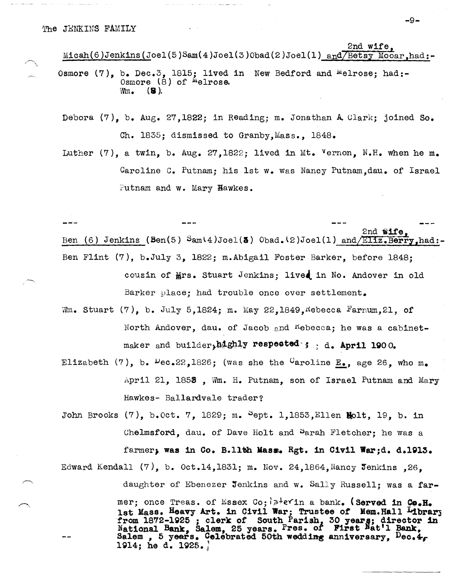$\frac{2nd \text{ wife}}{4}$  Micah(6)Jenkins(Joel(5)Sam(4)Joel(3)Obad(2)Joel(1) and/Betsy Mooar,had:-

Osmore  $(7)$ , b. Dec.3, 1815; lived in New Bedford and  $l$ Helrose; had:-Osmore  $(8)$  of  $^{\mu}$ elrose.  $Wm_{\bullet}$  (B).

Debora  $(7)$ , b. Aug. 27,1822; in Reading; m. Jonathan A, Clark; joined So. Ch. 1835; dismissed to Granby, Mass., 1848.

Luther  $(7)$ , a twin, b. Aug. 27,1822; lived in Mt. Vernon, N.H. when he m. Caroline c. Putnam; his 1st w. Was Nancy Putnam,dau. of Israel Futnam and w. Mary Hawkes.

2nd wife. Ben (6) Jenkins (Ben(5) Sam(4)Joel(3) Obad.(2)Joel(1) and/Eliz.Berry.had: Ben Flint (7), b.July 3, 1822; m.Abigail Foster Barker, before 1848; cousin of Mrs. Stuart Jenkins; lived in No. Andover in old Barker place; had trouble once over settlement.

Wm. Stuart  $(7)$ , b. July 5,1824; m. May 22,1849, Mebecca Farnum, 21, of North Andover, dau. of Jacob and Kebecca; he was a cabinetmaker and builder, highly respected  $\cdot$  : d. April 1900.

Elizabeth (7), b.  $\mu$ ec.22,1826; (was she the <sup>C</sup>aroline E., age 26, who m. April 21, 1853 . Wm. H. Putnam, son of Israel Putnam and Mary Hawkes- Ballardvale trader?

John Brooks  $(7)$ , b.Oct. 7, 1829; m.  $\frac{5}{10}$ ept. 1,1853, Ellen Holt, 19, b. in Uhelmsford, dau. of Dave Holt and Parah Fletcher; he was a farmer; was in Co. B.11th Mass. Rgt. in Civil War;d. d.1913. Edward Kendall  $(7)$ , b. Oct.14,1831; m. Nov. 24,1864, Nancy Jenkins ,26, daughter of Ebenezer Jenkins and w. Sally Russell; was a far-

> mer; once Treas. of Essex Co; | a+eYin a bank. (Served in Co.H. 1st Mass. Heavy Art. in C1v1l War; Trustee *ot* Kem.Hall LibrarJ from 1872-1925; clerk of South Parish, 30 years; director in<br>National Bark 30 years, director in rom 1872-1925 ; clerk of South Parish, 30 years; director<br>National Bank, Salem, 25 years. Pres. of First Nat'l Bank, Salem, 5 years. Celebrated 50th wedding anniversary, Dec.4, 1914; he d. 1925.]

-9-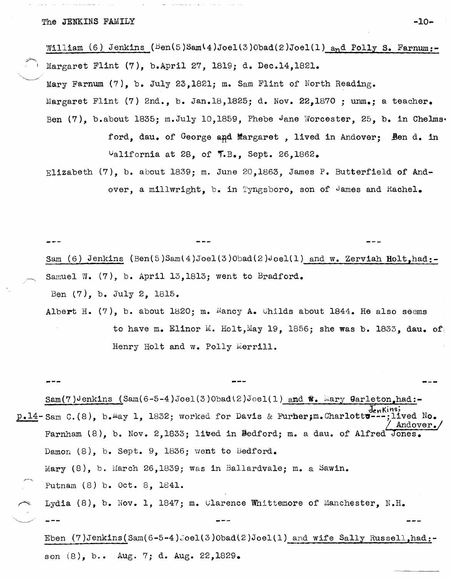William (6) Jenkins  $(Ben(5)Sam(4)Joel(3)Obad(2)Joel(1)$  and Polly S. Farnum:-Margaret Flint  $(7)$ , b.April 27, 1819; d. Dec.14,1821. Mary Farnum (7), b. July 23,1821; m. Sam Flint of North Reading. Margaret Flint (7) 2nd., b. Jan.18,1825; d. Nov. 22,1870; unm.; a teacher. Ben (7), b.about 1835; m.July 10,1859, Phebe Jane Viorcester, 25, b. in Chelmsford, dau. of George and Margaret, lived in Andover: Ben d. in  $v_{\text{alifornia at 28, of T.B., Sept. 26,1862.}}$ 

Elizabeth (7), b. about 1839; m. June 20,1863, James P. Butterfield of Andover, a millwright, b. in Tyngsboro, son of James and Rachel.

 $\sim$ 

Sam (6) Jenkins (Ben(5)Sam(4)Joel(3)Obad(2)Joel(1) and w. Zerviah Holt,had:-Samuel W.  $(7)$ , b. April 13,1813; went to Bradford.

Ben (7), b. July 2, 1815.

Albert H.  $(7)$ , b. about 1820; m. Nancy A. Childs about 1844. He also seems to have m. Elinor M. Holt, May 19, 1856; she was b. 1833, dau. of Henry Holt and w. Polly Merrill.

Sam(7)Jenkins (Sam(6-5-4)Joel(3)Obad(2)Joel(1) and **fig.** Mary Garleton,had:-Jen Kins;  $p.14$ -Sam C.(8), b.may 1, 1832; worked for Davis & Furber;m.Charlotts---;lived No.<br>Andover. Farnham  $(8)$ , b. Nov. 2,1833; lived in Bedford; m. a dau. of Alfred Jones. Damon (8), b. Sept. 9, 1836; went to Bedford. Mary  $(8)$ , b. March 26,1839; was in Ballardvale; m. a Sawin. Putnam (8) b. Oct. 8, 1841. Lydia (8), b. Nov. 1, 1847; m. Clarence Whittemore of Manchester, N.H. Eben  $(7)$ Jenkins(Sam $(6-5-4)$ Joel(3)Obad(2)Joel(1) and wife Sally Russell,had:son (8), b.. Aug. 7; d. Aug. 22,1829.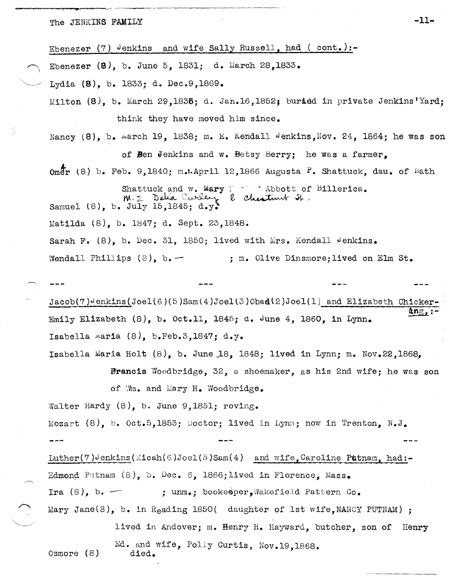### The JENKINS FAMILY **-11-**

Ebenezer (7) Jenkins and wife Sally Russell, had ( cont.):- Ebenezer  $(8)$ , b. June 5, 1831; d. March 28,1833. Lydia  $(8)$ , b. 1833; d. Dec. 9,1869. Milton  $(8)$ , b. March 29,1835; d. Jan.16,1852; buridd in private Jenkins Yard; think they have moved him since. Nancy  $(8)$ , b.  $\text{March } 19$ , 1838; m. E. Kendall Jenkins, Nov. 24, 1864; he was son of Ben Jenkins and w. Betsy Berry; he was a farmer, Om $\overline{d}$ r (8) b. Feb. 9,1840; m. April 12,1866 Augusta P. Shattuck, dau. of Math Shattuck and  $W$ . Mary; all abbott of Billerica.<br> $W \cdot 2$  Delia Curley  $\ell$  chiatum if. Shattuck and w. Mary : Abbott of Shattuck and w. Mary : Abbott of M. 2 Delia Curley & Chiatum of St. Matilda  $(8)$ , b. 1847; d. Sept. 23,1848. Sarah F.  $(8)$ , b. Dec. 31, 1850; lived with Mrs. Kendall Jenkins. Wendall Phillips  $(8)$ , b. - ; m. Olive Dinsmore; lived on Elm St.  $\texttt{Jacob(7)}$ Jenkins(Joe1(6)(5)Sam(4)Joe1(3)Obad(2)Joe1(1) and Elizabeth Chicker-Emily Elizabeth  $(8)$ , b. Oct.11, 1845; d. June 4, 1860, in Lynn. Isabella  $M$ aria (8), b.Feb.3,1847; d.y.  ${\tt nn}$  . Isabella Maria Holt (8), b. June \_18, 1848; lived in Lynn; m. Nov.22,1868, Hrancis Woodbridge, 32, a shoemaker, as his 2nd wife; he was son of Wm. and Mary H. Woodbridge. Nalter Hardy (8), b. June 9,1851; roving. Mozart (8), b. Oct.5,1853; Doctor; lived in Lynn; now in Trenton, N.J. Luther  $(7)$ Jenkins (Micah(6)Joel (5)Sam(4) and wife, Caroline Putnam, had:-Edmond Putnam (8), *b.* Dec. 6, 1866;lived in Florence, Mass. Ira  $(8)$ , b.  $-$  ; unm.; bookeeper, Wakefield Pattern Co. Mary Jane(8), b. in Reading 1850( daughter of 1st wife, NANCY PUTNAM) ; Osmore (8) lived in Andover; m. Henry H. Hayward, butcher, son of Henry Ed. and wife, PoLLy Curtis, Nov.19,1868. died.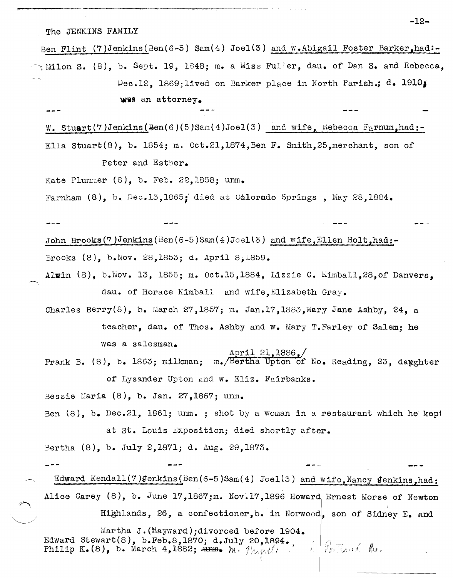**/&4** ".

Ben Flint (7)Jenkins(Ben(6-5) Sam(4) Joel(3) and  $\nw$ .Abigail Foster Barker, had:- $\gamma$  Milon S. (8), b. Sept. 19, 1848; m. a Miss Fuller, dau. of Dan S. and Rebecca. Uec.12, 1869;lived on Barker place in North Parish.; d. 1910,  $W39$  an attorney.

W. Stuart(7)Jenkins(Ben(6)(5)Sam(4)Joel(3) and wife, Rebecca Farnum, had:-Ella Stuart(8), b. 1854; m. Oct.21,1874,Ben F. Smith, 25, merchant, son of Peter and Esther.

Kate Plumner (8), b. Feb. 22,1858; unm. Farnham  $(8)$ , b. Dec.13,1865; died at Colorado Springs, May 28,1884.

John Brooks(7)Jenkins(Ben(6-5)Sam(4)Joel(3) and wife,Ellen Holt,had:-Brooks (8), b.Nov. 28,1853; d. April 8,1859.

Alvin (8), b.Nov. 13, 1855; m. Oct.15,1884, Lizzie C. Kimball,28,of Danvers, dau. of Horace Kimball and wife, Elizabeth Gray.

Charles Berry(8), b. March 27,1857; m. Jan.17,1883, Mary Jane Ashby, 24, a teacher, dau. of Thos. Ashby and w. Mary T.Farley of Salem; he was a salesman. April 21,1886,/

Frank B. (8), b. 1863; milkman; m. Bertha Upton of No. Reading, 23, dayghter of Lysander Upton and w. Eliz. Fairbanks.

Bessie Maria  $(8)$ , b. Jan. 27,1867; unm.

Ben (8), b. Dec.21, 1861; umn. ; shot by a woman in a restaurant which he kepi at St. Louis Exposition; died shortly after.

Bertha (8), b. July 2,1871; d. Aug. 29,1873.

Edward Kendall(7)genkins(Ben(6-5)Sam(4) Joel(3) and wife, Nancy genkins, had: Alice Carey (8), b. June 17,1867;m. Nov.17,1896 Howard Ernest Morse of Newton Highlands, 26, a confectioner,b.in Norwood, son of Sidney E. and

Martha J. (Hayward);divorced before  $1904.$ Edward Stewart(8), b.Feb.8,1870; d.July 20,1894.<br>Philip K. (8), b. March 4,1882;  $\frac{1894}{100}$  M.  $\frac{1}{100}$ Portand Ku.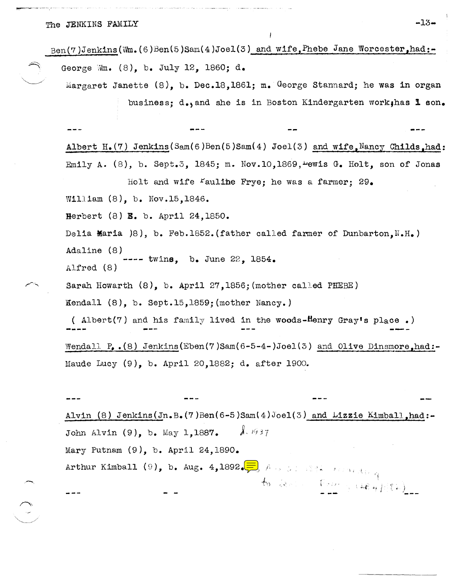### The JENKINS FAMILY  $-13-$

~\_"' \_\_\_ ""~ \_\_\_\_\_\_\_ "·c . .

> Ben(7)Jenkins(Wm.(6)Ben(5)Sam(4)Joel(3) and wife, Phebe Jane Worcester,had:-George Wm.  $(8)$ , b. July 12, 1860; d.

Margaret Janette  $(8)$ , b. Dec.18,1861; m. George Stannard; he was in organ business; d., and she is in Boston Kindergarten work; has 1 son.

Albert H.(7) Jenkins(Sam(6)Ben(5)Sam(4) Joel(3) and wife, Nancy Childs,had: Emily A. (8), b. Sept.3, 1845; m. Nov.10,1869, $\frac{\text{1}}{2}$ ewis G. Holt, son of Jonas

Holt and wife  $F$ aulihe Frye; he was a farmer; 29.

William (8), b. Nov.15,1846.

Herbert (8) **B.** b. April 24,1850.

Delia Maria  $\left(8\right)$ , b. Feb.1852. (father called farmer of Dunbarton,  $N.H.$ ) Adaline (8) Alfred (8) ---- twins, b. June 22, 1854.

Sarah Howarth  $(8)$ , b. April 27,1856; (mother called PHEBE)

Kendall (8), b. Sept.15,1859;(mother Nancy.)

( Albert(7) and his family lived in the woods-Henry Gray's place .) **----**

Wendall  $P_{\bullet}$ .(8) Jenkins(Eben(7)Sam(6-5-4-)Joel(3) and Olive Dinsmore,had:-Maude Lucy (9), b. April 20,1882; d. after 1900.

Alvin (8) Jenkins(Jn.B.(7)Ben(6-5)Sam(4)Joel(3) and Lizzie Kimball,had:- $1.1937$ John Alvin (9), b. May 1,1887. Mary Putnam (9), b. April 24,1890. Arthur Kimball (9), b. Aug. 4,1892.  $\boxed{\equiv}$  A  $t$ , being the set of  $\frac{1}{1+\epsilon}$ )<br>——-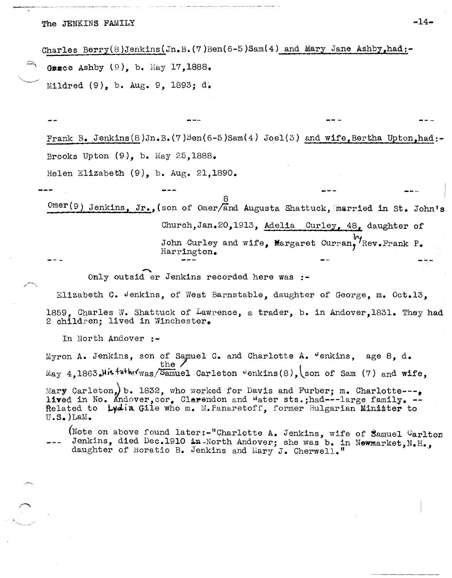Charles Berry(8)Jenkins(Jn.B.(7)Ben(6-5)Sam(4) and Mary Jane Ashby,had:-Gaace Ashby  $(9)$ , b. May 17,1888. Mildred  $(9)$ , b. Aug. 9, 1893; d.

Frank B. Jenkins(8)Jn.B.(7)Ben(6-5)Sam(4) Joel(3) and wife, Bertha Upton, had: Brooks Upton  $(9)$ , b. May 25,1888.

Helen Elizabeth  $(9)$ , b. Aug. 21,1890.

e<br>Omer(9) Jenkins, Jr.,(son of Omer/and Augusta Shattuck, married in St. John's Church, Jan. 20, 1913, Adelia Curley, 48, daughter of John Curley and wife, Margaret Curran,  $H_{\text{rev}}$ . Frank P. Harrington.

~ Only outsid er Jenkins recorded here was :-

Elizabeth C. Jenkins, of West Barnstable, daughter of George, m. Oct.13,

1859, Charles W. Shattuck of Lawrence, a trader, b. in Andover,1831. They had 2 children; lived *in* Winchester.

In North Andover :-

Myron A. Jenkins, son of Samuel C. and Charlotte A. Jenkins, age 8, d. the  $\sqrt{\frac{2\pi}{n}}$ myron A. Jenkins, son of Samuel C. and Charlotte A. Senkins, age 8, d.<br>May 4,1863.Histotherwas/Samuel Carleton Jenkins(8), son of Sam (7) and wife, Mary Carleton, b. 1832, who worked for Davis and Furber; m. Charlotte---, lived in No. Andover,cor. Clarendon and Water sts.;had---large family. --<br>Related to Lydia Gile who m. M.Panaretoff, former Bulgarian Minister to U.S.)LaM.

(Note on above found later:-"Charlotte A. Jenkins, wife of Samuel Garlton Jenkins, died Dec.1910 in North Andover; she was b. in Newmarket, N.H., daughter of Horatio B. Jenkins and Mary J. Cherwell."

 $-14-$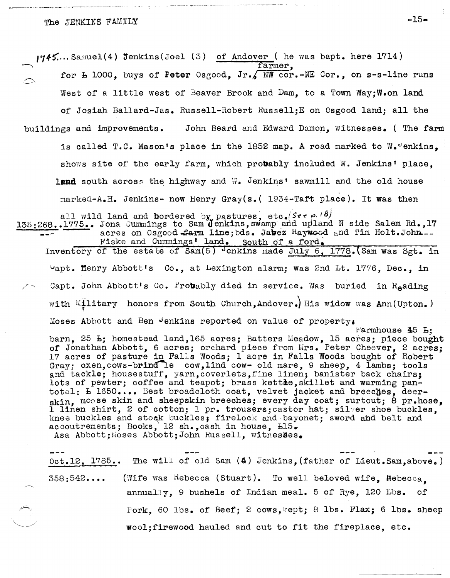--~ ---~ -~- -.------~--~~--.---------- - -\_.

1745.... Samuel(4) Jenkins(Joel (3) of Andover ( he was bapt. here 1714) Tarmer, farmer,<br>for  $\overline{b}$  1000, buys of Peter Osgood,  $Jr \sqrt{NW}$  cor.-NE Cor., on s-s-line runs West of a little west of Beaver Brook and Dam, to a Town Way;W.on land of Josiah Ballard-Jas. Russell-Robert RusselljE on Osgood land; all the buildings and improvements. John Beard and Edward Damon, witnesses. (The farm is called T.C. Mason's place in the 1852 map. A road marked to  $W_{\bullet}$  enkins, shows site of the early farm, which probably included W. Jenkins' place. land south across the highway and  $W_{\bullet}$  Jenkins' sawmill and the old house marked-A.H. Jenkins- now Henry Gray(s.  $(1934 - Taft$  place). It was then

all wild land and bordered by pastures, etc.<sup>(See p.18)</sup><br>135:268..1775... Jona Cummings to Sam Jenkins, swamp and upland N side Salem Rd.,17<br>2011 acres on Osgood-farm line;bds. Jabez Haywood and Tim Holt.John. Fiske and Cummings' land. South of a ford. Inventory of the estate of Sam(5) cenkins made July 6, 1778. (Sam was Sgt. in vapt. Menry Abbott's Co., at Lexington alarm; Was 2nd Lt. 1776, Dec., in Capt. John Abbott's Co. Probably died in service. Was buried in Reading with  $\mathbb{M}$ ilitary honors from South Church, Andover.) His widow was Ann (Upton.) ₹. Moses Abbott and Ben Jenkins reported on value of property, Farmhouse  $45$  L; barn, 25 b; homestead land,165 acres; Batters Meadow, 15 acres; piece bought of Jonathan Abbott, 6 acres; orchard piece from Mrs. Peter Cheever, 2 acres; 17 acres of pasture in Falls Woods; 1 acre in Falls Woods bought of Robert Gray; oxen, cows-brind le cow, lind cow- old mare, 9 sheep, 4 lambs; tools and tackle; housestuff, yarn, coverlets, fine linen; banister back chairs; lots of pewter; coffee and teapot; brass kettie, skillet and warming pantotal: *b* 1650.... Best broadcloth coat, velvet jacket and breeches, deerskin, moose skin and sheepskin breeches; every day coat; surtout; 8 pr.hose. llinen shirt, 2 of cotton; 1 pr. trousers; castor hat; silver shoe buckles. knee buckles and stock buckles; firelock and bayonet; sword and belt and accoutrements; Books, 12 sh., cash in house,  $E15.$ Asa Abbott;Moses Abbott;John Russell, witnesäes.

Oct.12, 1785.. The will of old Sam (4) Jenkins, (father of Lieut.Sam,above.)  $358:542...$  (Wife was Rebecca (Stuart). To well beloved wife, Rebecca, annually. 9 bushels of Indian meal. 5 of Rye. 120 Lbs. of Pork, 60 lbs. of Beef; 2 cows, kept; 8 lbs. Flax; 6 lbs. sheep wool;firewood hauled and cut to fit the fireplace, etc.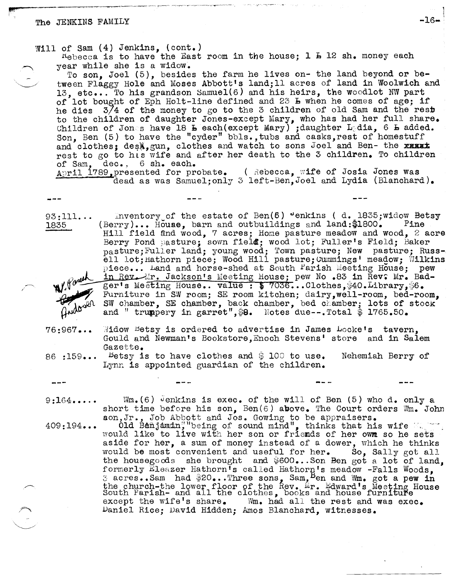## The JENKINS FAMILY  $-16-$

Will of Sam (4) Jenkins, (cont.)

 $R$ <sub>ebecca</sub> is to have the East room in the house;  $1 \t{L}$  12 sh. money each year while she is a widow.

To son, Joel (5), besides the farm he lives on- the land beyond or be tween Flaggy Hole and Moses Abbott's land; 11 acres of land in Woolwich and 13, etc... To his grandson Samuel(6) and his heirs, the woodlot NW part of lot bought of Eph Holt-line defined and 23  $\overline{\mathbf{b}}$  when he comes of age; if he dies  $3/4$  of the money to go to the 3 children of old Sam and the rest to the children of daughter Jones-except Mary, who has had her full share. Uhildren of Jons have 18 L each(except Mary) ;daughter Ledia, 6 L added. Son, Ben (5) to have the "cyder" bbls.,tubs and casks, rest of homestuff and clothes; des , gun, clothes and watch to sons Joel and Ben- the xxxxx rest to go to his wife and after her death to the 3 children. To children of Sam, dec., 6 she each.

April 1789, presented for probate. (Rebecca, wife of Josia Jones was dead as was Samuel; only 3 left-Ben, Joel and Lydia (Blanchard).

93:111... Enventory of the estate of Ben(6) "enkins ( d. 1835;widow Betsy 1835. 1835 (Berry)... House, barn and outbuildings and land: $$1800$ . Hill field and wood, 7 acres; Home pasture meadow and wood, 2 acre Berry Pond pasture; sown field: wood lot; Fuller's Field; Baker pasture;Fuller land; young wood; Town pasture; New pasture; Russpasture; ruiner land; young wood; fown pasture; Now pasture; huss-<br>ell lot; Hathorn piece; Wood Hill pasture; Cummings' meadow; Wilkins piece... Land and horse-shed at South Parish Meeting House; pew in Rev. Mr. Jackson's Meeting House; pew No.83 in Rev. Mr. Bad-<br>ger's Meeting House.. value : \$7036...Clothes,\$40.Library,\$6.<br>Furniture in SW room; SE room ki SW chamber, SE chamber, back chamber, bed chamber; lots of stock and " trumpery in garret", \$8. Notes due--.Total  $$1765.50$ .

- 
- 

 $\bigcap$ 

 $76:967...$  Widow Betsy is ordered to advertise in James Locke's tavern. Gould and Newman's Bookstore,Enoch Stevens' store and in Salem Gazette.

86 :159... Petsy is to have clothes and \$ 100 to use. Nehemiah Berry of Lynn is appointed guardian of the children.

- $9:164...$ .... Wm.(6) Jenkins is exec. of the will of Ben (5) who d. only a short time before his son, Ben(6) above. The Court orders Wm. John
- son, Jr., Job Abbott and Jos. Gowing to be appraisers.<br>409:194... 01d Benjamin<sup>y</sup> being of sound mind", thinks that his wife ', -would like to live with her son or friends of her own so he sets aside for her, a sum of money instead of a dower, which he thinks<br>would be most convenient and useful for her. So, Sally got all would be most convenient and useful for her. the housegoods she brought and  $$600...$ Son Ben got a lot of land, formerly lileazer Hathorn's cal.Led Hathorn's meadow -Falls Woods,  $\frac{3}{3}$  acres..Sam had  $\frac{3}{7}$  20...Three sons, Sam, Ben and Wm. got a pew in the church-the lower floor of the Rev.  $\frac{1}{2}$  and  $\frac{1}{2}$  Meeting House South Parish- and all the clothes, books and house furniture except the wife's share. Wm. had all the rest and was exec.<br>Daniel Rice; David Hidden; Amos Blanchard, witnesses.